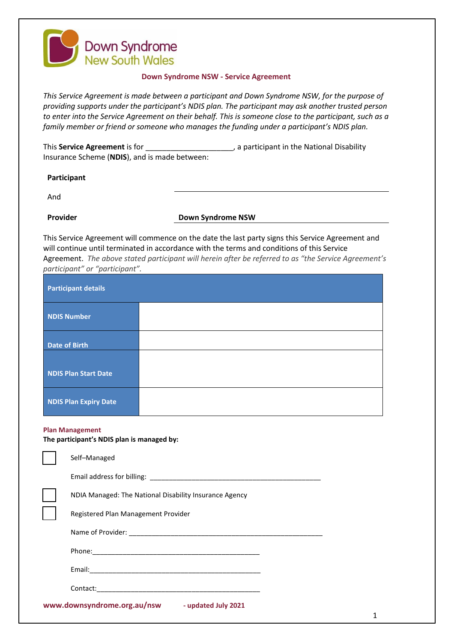

#### **Down Syndrome NSW - Service Agreement**

*This Service Agreement is made between a participant and Down Syndrome NSW, for the purpose of providing supports under the participant's NDIS plan. The participant may ask another trusted person to enter into the Service Agreement on their behalf. This is someone close to the participant, such as a family member or friend or someone who manages the funding under a participant's NDIS plan.* 

This **Service Agreement** is for \_\_\_\_\_\_\_\_\_\_\_\_\_\_\_\_\_\_\_\_\_, a participant in the National Disability Insurance Scheme (**NDIS**), and is made between:

**Participant**

And

**Provider Down Syndrome NSW** 

This Service Agreement will commence on the date the last party signs this Service Agreement and will continue until terminated in accordance with the terms and conditions of this Service Agreement. *The above stated participant will herein after be referred to as "the Service Agreement's participant" or "participant".*

| <b>Participant details</b>   |  |
|------------------------------|--|
| <b>NDIS Number</b>           |  |
| <b>Date of Birth</b>         |  |
| <b>NDIS Plan Start Date</b>  |  |
| <b>NDIS Plan Expiry Date</b> |  |

#### **Plan Management**

**The participant's NDIS plan is managed by:**

| Self-Managed                                           |  |
|--------------------------------------------------------|--|
|                                                        |  |
| NDIA Managed: The National Disability Insurance Agency |  |
| Registered Plan Management Provider                    |  |
|                                                        |  |
|                                                        |  |
|                                                        |  |
|                                                        |  |
| www.downsyndrome.org.au/nsw - updated July 2021        |  |

1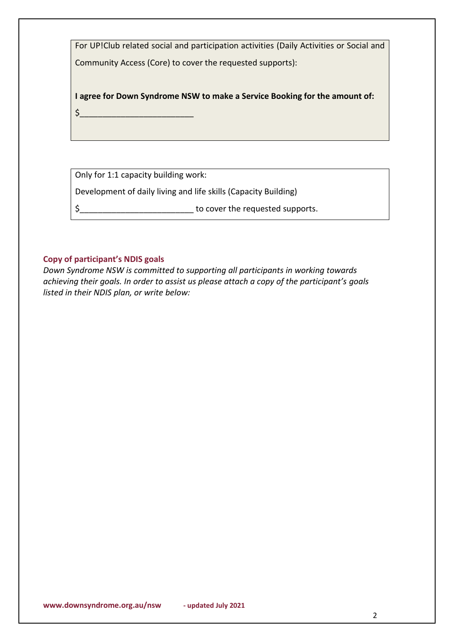| For UP! Club related social and participation activities (Daily Activities or Social and |
|------------------------------------------------------------------------------------------|
| Community Access (Core) to cover the requested supports):                                |

**I agree for Down Syndrome NSW to make a Service Booking for the amount of:** 

Only for 1:1 capacity building work:

 $\sharp$ 

Development of daily living and life skills (Capacity Building)

\$\_\_\_\_\_\_\_\_\_\_\_\_\_\_\_\_\_\_\_\_\_\_\_\_\_ to cover the requested supports.

### **Copy of participant's NDIS goals**

*Down Syndrome NSW is committed to supporting all participants in working towards achieving their goals. In order to assist us please attach a copy of the participant's goals listed in their NDIS plan, or write below:*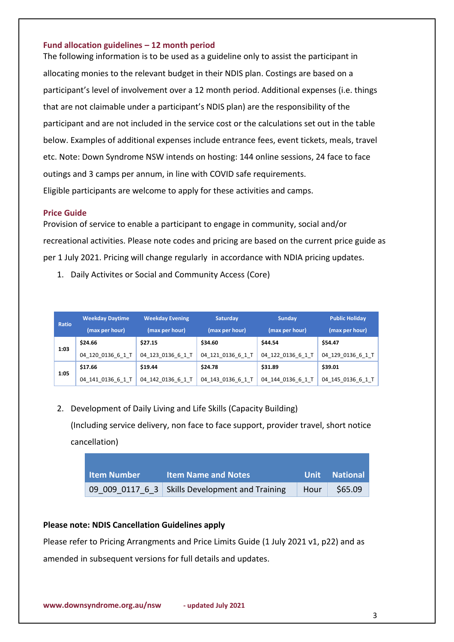#### **Fund allocation guidelines – 12 month period**

The following information is to be used as a guideline only to assist the participant in allocating monies to the relevant budget in their NDIS plan. Costings are based on a participant's level of involvement over a 12 month period. Additional expenses (i.e. things that are not claimable under a participant's NDIS plan) are the responsibility of the participant and are not included in the service cost or the calculations set out in the table below. Examples of additional expenses include entrance fees, event tickets, meals, travel etc. Note: Down Syndrome NSW intends on hosting: 144 online sessions, 24 face to face outings and 3 camps per annum, in line with COVID safe requirements. Eligible participants are welcome to apply for these activities and camps.

#### **Price Guide**

Provision of service to enable a participant to engage in community, social and/or recreational activities. Please note codes and pricing are based on the current price guide as per 1 July 2021. Pricing will change regularly in accordance with NDIA pricing updates.

1. Daily Activites or Social and Community Access (Core)

| <b>Ratio</b> | <b>Weekday Daytime</b> | <b>Weekday Evening</b> | <b>Saturday</b>   | Sunday            | Public Holiday    |
|--------------|------------------------|------------------------|-------------------|-------------------|-------------------|
|              | (max per hour)         | (max per hour)         | (max per hour)    | (max per hour)    | (max per hour)    |
|              | \$24.66                | \$27.15                | \$34.60           | \$44.54           | \$54.47           |
| 1:03         | 04 120 0136 6 1 T      | 04 123 0136 6 1 T      | 04 121 0136 6 1 T | 04 122 0136 6 1 T | 04 129 0136 6 1 T |
|              | \$17.66                | \$19.44                | \$24.78           | \$31.89           | \$39.01           |
| 1:05         | 04 141 0136 6 1 T      | 04 142 0136 6 1 T      | 04 143 0136 6 1 T | 04 144 0136 6 1 T | 04 145 0136 6 1 T |

2. Development of Daily Living and Life Skills (Capacity Building)

(Including service delivery, non face to face support, provider travel, short notice cancellation)

| <b>Item Number</b> | <b>Item Name and Notes</b>                      |      | Unit National |
|--------------------|-------------------------------------------------|------|---------------|
|                    | 09 009 0117 6 3 Skills Development and Training | Hour | \$65.09       |

#### **Please note: NDIS Cancellation Guidelines apply**

Please refer to Pricing Arrangments and Price Limits Guide (1 July 2021 v1, p22) and as amended in subsequent versions for full details and updates.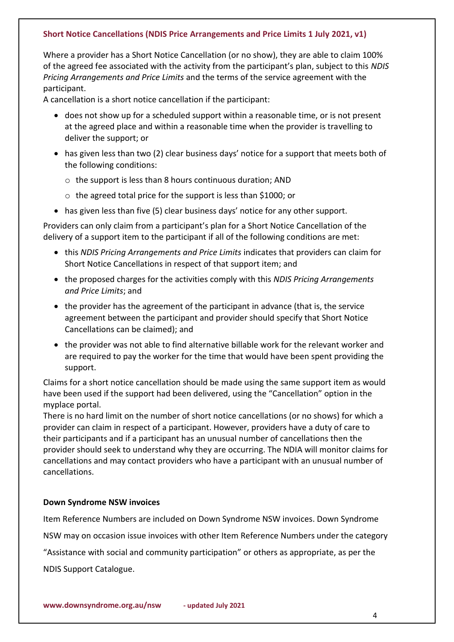## **Short Notice Cancellations (NDIS Price Arrangements and Price Limits 1 July 2021, v1)**

Where a provider has a Short Notice Cancellation (or no show), they are able to claim 100% of the agreed fee associated with the activity from the participant's plan, subject to this *NDIS Pricing Arrangements and Price Limits* and the terms of the service agreement with the participant.

A cancellation is a short notice cancellation if the participant:

- does not show up for a scheduled support within a reasonable time, or is not present at the agreed place and within a reasonable time when the provider is travelling to deliver the support; or
- has given less than two (2) clear business days' notice for a support that meets both of the following conditions:
	- o the support is less than 8 hours continuous duration; AND
	- o the agreed total price for the support is less than \$1000; or
- has given less than five (5) clear business days' notice for any other support.

Providers can only claim from a participant's plan for a Short Notice Cancellation of the delivery of a support item to the participant if all of the following conditions are met:

- this *NDIS Pricing Arrangements and Price Limits* indicates that providers can claim for Short Notice Cancellations in respect of that support item; and
- the proposed charges for the activities comply with this *NDIS Pricing Arrangements and Price Limits*; and
- the provider has the agreement of the participant in advance (that is, the service agreement between the participant and provider should specify that Short Notice Cancellations can be claimed); and
- the provider was not able to find alternative billable work for the relevant worker and are required to pay the worker for the time that would have been spent providing the support.

Claims for a short notice cancellation should be made using the same support item as would have been used if the support had been delivered, using the "Cancellation" option in the myplace portal.

There is no hard limit on the number of short notice cancellations (or no shows) for which a provider can claim in respect of a participant. However, providers have a duty of care to their participants and if a participant has an unusual number of cancellations then the provider should seek to understand why they are occurring. The NDIA will monitor claims for cancellations and may contact providers who have a participant with an unusual number of cancellations.

## **Down Syndrome NSW invoices**

Item Reference Numbers are included on Down Syndrome NSW invoices. Down Syndrome

NSW may on occasion issue invoices with other Item Reference Numbers under the category

"Assistance with social and community participation" or others as appropriate, as per the

NDIS Support Catalogue.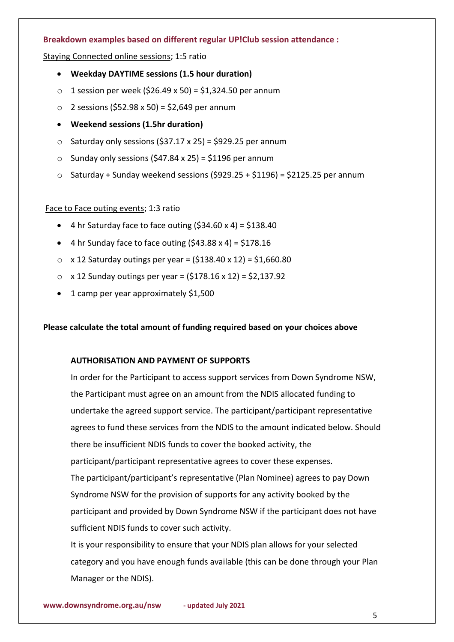#### **Breakdown examples based on different regular UP!Club session attendance :**

Staying Connected online sessions; 1:5 ratio

- **Weekday DAYTIME sessions (1.5 hour duration)**
- o 1 session per week (\$26.49 x 50) = \$1,324.50 per annum
- o 2 sessions (\$52.98 x 50) = \$2,649 per annum
- **Weekend sessions (1.5hr duration)**
- $\circ$  Saturday only sessions (\$37.17 x 25) = \$929.25 per annum
- $\circ$  Sunday only sessions (\$47.84 x 25) = \$1196 per annum
- $\circ$  Saturday + Sunday weekend sessions (\$929.25 + \$1196) = \$2125.25 per annum

#### Face to Face outing events; 1:3 ratio

- $\bullet$  4 hr Saturday face to face outing (\$34.60 x 4) = \$138.40
- $\bullet$  4 hr Sunday face to face outing (\$43.88 x 4) = \$178.16
- $\circ$  x 12 Saturday outings per year = (\$138.40 x 12) = \$1,660.80
- $\circ$  x 12 Sunday outings per year = (\$178.16 x 12) = \$2,137.92
- 1 camp per year approximately \$1,500

#### **Please calculate the total amount of funding required based on your choices above**

#### **AUTHORISATION AND PAYMENT OF SUPPORTS**

In order for the Participant to access support services from Down Syndrome NSW, the Participant must agree on an amount from the NDIS allocated funding to undertake the agreed support service. The participant/participant representative agrees to fund these services from the NDIS to the amount indicated below. Should there be insufficient NDIS funds to cover the booked activity, the participant/participant representative agrees to cover these expenses. The participant/participant's representative (Plan Nominee) agrees to pay Down Syndrome NSW for the provision of supports for any activity booked by the participant and provided by Down Syndrome NSW if the participant does not have sufficient NDIS funds to cover such activity.

It is your responsibility to ensure that your NDIS plan allows for your selected category and you have enough funds available (this can be done through your Plan Manager or the NDIS).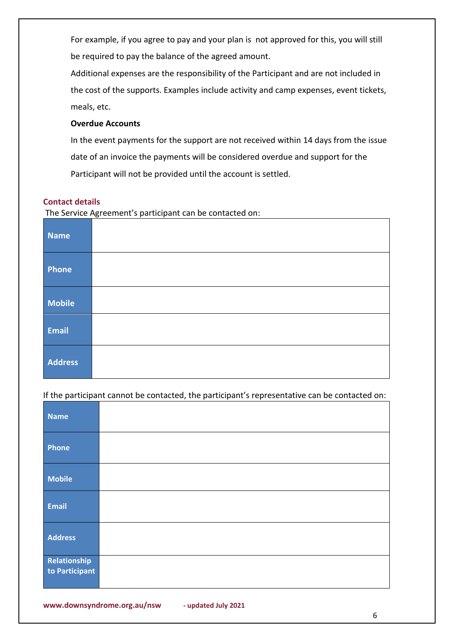For example, if you agree to pay and your plan is not approved for this, you will still be required to pay the balance of the agreed amount.

Additional expenses are the responsibility of the Participant and are not included in the cost of the supports. Examples include activity and camp expenses, event tickets, meals, etc.

## **Overdue Accounts**

In the event payments for the support are not received within 14 days from the issue date of an invoice the payments will be considered overdue and support for the Participant will not be provided until the account is settled.

### **Contact details**

The Service Agreement's participant can be contacted on:

| <b>Name</b>    |  |
|----------------|--|
| Phone          |  |
| <b>Mobile</b>  |  |
| <b>Email</b>   |  |
| <b>Address</b> |  |

If the participant cannot be contacted, the participant's representative can be contacted on:

| <b>Name</b>                    |  |
|--------------------------------|--|
| Phone                          |  |
| <b>Mobile</b>                  |  |
| <b>Email</b>                   |  |
| <b>Address</b>                 |  |
| Relationship<br>to Participant |  |

**www.downsyndrome.org.au/nsw - updated July 2021**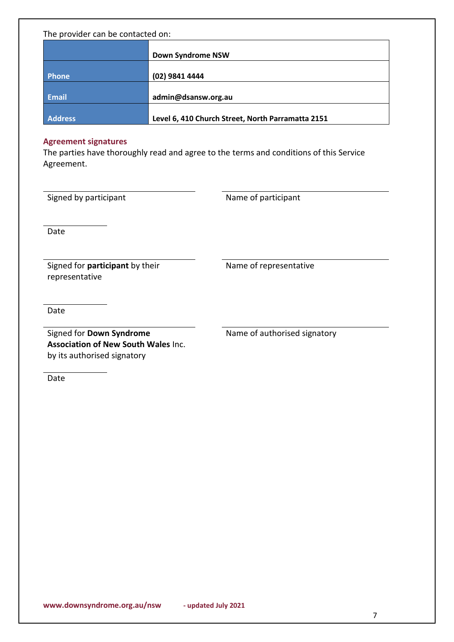| The provider can be contacted on: |                                                   |
|-----------------------------------|---------------------------------------------------|
|                                   | <b>Down Syndrome NSW</b>                          |
| <b>Phone</b>                      | (02) 9841 4444                                    |
| <b>Email</b>                      |                                                   |
|                                   | admin@dsansw.org.au                               |
| <b>Address</b>                    | Level 6, 410 Church Street, North Parramatta 2151 |

## **Agreement signatures**

The parties have thoroughly read and agree to the terms and conditions of this Service Agreement.

Signed by participant Name of participant

Date

Signed for **participant** by their representative

Name of representative

Date

Signed for **Down Syndrome Association of New South Wales** Inc. by its authorised signatory

Name of authorised signatory

Date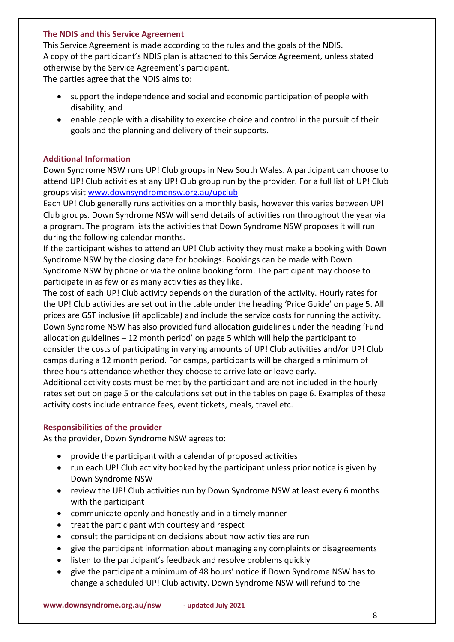## **The NDIS and this Service Agreement**

This Service Agreement is made according to the rules and the goals of the NDIS. A copy of the participant's NDIS plan is attached to this Service Agreement, unless stated otherwise by the Service Agreement's participant.

The parties agree that the NDIS aims to:

- support the independence and social and economic participation of people with disability, and
- enable people with a disability to exercise choice and control in the pursuit of their goals and the planning and delivery of their supports.

### **Additional Information**

Down Syndrome NSW runs UP! Club groups in New South Wales. A participant can choose to attend UP! Club activities at any UP! Club group run by the provider. For a full list of UP! Club groups visit [www.downsyndromensw.org.au/upclub](http://www.downsyndromensw.org.au/upclub)

Each UP! Club generally runs activities on a monthly basis, however this varies between UP! Club groups. Down Syndrome NSW will send details of activities run throughout the year via a program. The program lists the activities that Down Syndrome NSW proposes it will run during the following calendar months.

If the participant wishes to attend an UP! Club activity they must make a booking with Down Syndrome NSW by the closing date for bookings. Bookings can be made with Down Syndrome NSW by phone or via the online booking form. The participant may choose to participate in as few or as many activities as they like.

The cost of each UP! Club activity depends on the duration of the activity. Hourly rates for the UP! Club activities are set out in the table under the heading 'Price Guide' on page 5. All prices are GST inclusive (if applicable) and include the service costs for running the activity. Down Syndrome NSW has also provided fund allocation guidelines under the heading 'Fund allocation guidelines – 12 month period' on page 5 which will help the participant to consider the costs of participating in varying amounts of UP! Club activities and/or UP! Club camps during a 12 month period. For camps, participants will be charged a minimum of three hours attendance whether they choose to arrive late or leave early.

Additional activity costs must be met by the participant and are not included in the hourly rates set out on page 5 or the calculations set out in the tables on page 6. Examples of these activity costs include entrance fees, event tickets, meals, travel etc.

#### **Responsibilities of the provider**

As the provider, Down Syndrome NSW agrees to:

- provide the participant with a calendar of proposed activities
- run each UP! Club activity booked by the participant unless prior notice is given by Down Syndrome NSW
- review the UP! Club activities run by Down Syndrome NSW at least every 6 months with the participant
- communicate openly and honestly and in a timely manner
- treat the participant with courtesy and respect
- consult the participant on decisions about how activities are run
- give the participant information about managing any complaints or disagreements
- listen to the participant's feedback and resolve problems quickly
- give the participant a minimum of 48 hours' notice if Down Syndrome NSW has to change a scheduled UP! Club activity. Down Syndrome NSW will refund to the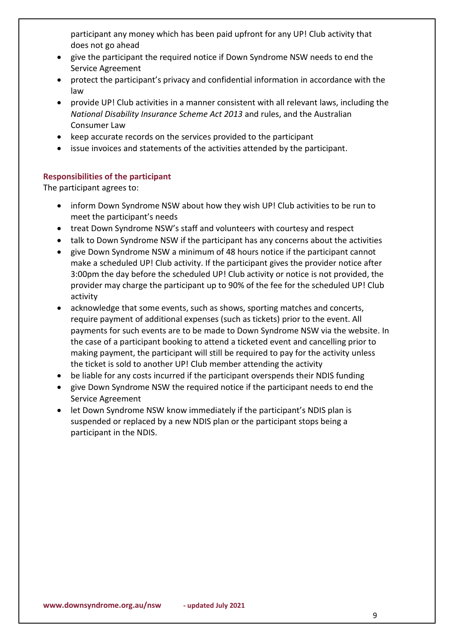participant any money which has been paid upfront for any UP! Club activity that does not go ahead

- give the participant the required notice if Down Syndrome NSW needs to end the Service Agreement
- protect the participant's privacy and confidential information in accordance with the law
- provide UP! Club activities in a manner consistent with all relevant laws, including the *National Disability Insurance Scheme Act 2013* and rules, and the Australian Consumer Law
- keep accurate records on the services provided to the participant
- issue invoices and statements of the activities attended by the participant.

## **Responsibilities of the participant**

The participant agrees to:

- inform Down Syndrome NSW about how they wish UP! Club activities to be run to meet the participant's needs
- treat Down Syndrome NSW's staff and volunteers with courtesy and respect
- talk to Down Syndrome NSW if the participant has any concerns about the activities
- give Down Syndrome NSW a minimum of 48 hours notice if the participant cannot make a scheduled UP! Club activity. If the participant gives the provider notice after 3:00pm the day before the scheduled UP! Club activity or notice is not provided, the provider may charge the participant up to 90% of the fee for the scheduled UP! Club activity
- acknowledge that some events, such as shows, sporting matches and concerts, require payment of additional expenses (such as tickets) prior to the event. All payments for such events are to be made to Down Syndrome NSW via the website. In the case of a participant booking to attend a ticketed event and cancelling prior to making payment, the participant will still be required to pay for the activity unless the ticket is sold to another UP! Club member attending the activity
- be liable for any costs incurred if the participant overspends their NDIS funding
- give Down Syndrome NSW the required notice if the participant needs to end the Service Agreement
- let Down Syndrome NSW know immediately if the participant's NDIS plan is suspended or replaced by a new NDIS plan or the participant stops being a participant in the NDIS.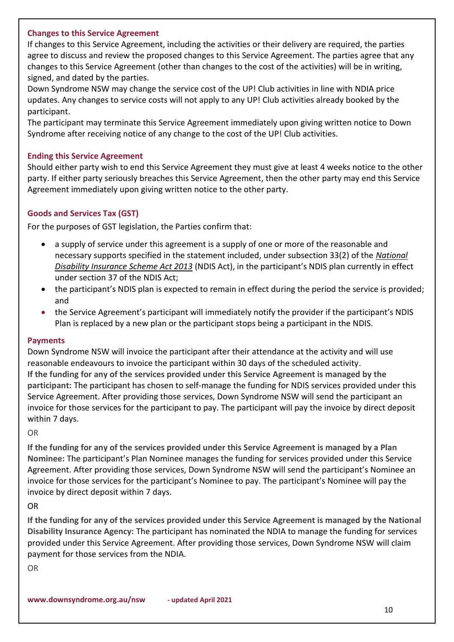## **Changes to this Service Agreement**

If changes to this Service Agreement, including the activities or their delivery are required, the parties agree to discuss and review the proposed changes to this Service Agreement. The parties agree that any changes to this Service Agreement (other than changes to the cost of the activities) will be in writing, signed, and dated by the parties.

Down Syndrome NSW may change the service cost of the UP! Club activities in line with NDIA price updates. Any changes to service costs will not apply to any UP! Club activities already booked by the participant.

The participant may terminate this Service Agreement immediately upon giving written notice to Down Syndrome after receiving notice of any change to the cost of the UP! Club activities.

## **Ending this Service Agreement**

Should either party wish to end this Service Agreement they must give at least 4 weeks notice to the other party. If either party seriously breaches this Service Agreement, then the other party may end this Service Agreement immediately upon giving written notice to the other party.

# **Goods and Services Tax (GST)**

For the purposes of GST legislation, the Parties confirm that:

- a supply of service under this agreement is a supply of one or more of the reasonable and necessary supports specified in the statement included, under subsection 33(2) of the *[National](http://www.comlaw.gov.au/Current/C2014C00149)  [Disability Insurance Scheme Act 2013](http://www.comlaw.gov.au/Current/C2014C00149)* (NDIS Act), in the participant's NDIS plan currently in effect under section 37 of the NDIS Act;
- the participant's NDIS plan is expected to remain in effect during the period the service is provided; and
- the Service Agreement's participant will immediately notify the provider if the participant's NDIS Plan is replaced by a new plan or the participant stops being a participant in the NDIS.

## **Payments**

Down Syndrome NSW will invoice the participant after their attendance at the activity and will use reasonable endeavours to invoice the participant within 30 days of the scheduled activity. **If the funding for any of the services provided under this Service Agreement is managed by the participant:** The participant has chosen to self-manage the funding for NDIS services provided under this Service Agreement. After providing those services, Down Syndrome NSW will send the participant an invoice for those services for the participant to pay. The participant will pay the invoice by direct deposit within 7 days.

## OR

**If the funding for any of the services provided under this Service Agreement is managed by a Plan Nominee:** The participant's Plan Nominee manages the funding for services provided under this Service Agreement. After providing those services, Down Syndrome NSW will send the participant's Nominee an invoice for those services for the participant's Nominee to pay. The participant's Nominee will pay the invoice by direct deposit within 7 days.

OR

**If the funding for any of the services provided under this Service Agreement is managed by the National Disability Insurance Agency:** The participant has nominated the NDIA to manage the funding for services provided under this Service Agreement. After providing those services, Down Syndrome NSW will claim payment for those services from the NDIA.

OR